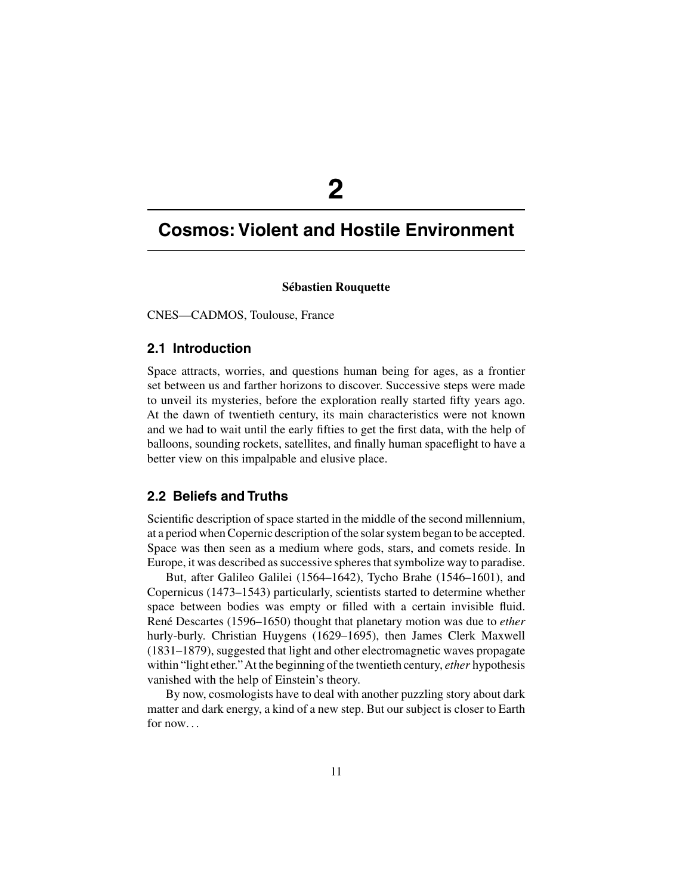# **2**

# **Cosmos: Violent and Hostile Environment**

#### **Sébastien Rouquette**

CNES—CADMOS, Toulouse, France

# **2.1 Introduction**

Space attracts, worries, and questions human being for ages, as a frontier set between us and farther horizons to discover. Successive steps were made to unveil its mysteries, before the exploration really started fifty years ago. At the dawn of twentieth century, its main characteristics were not known and we had to wait until the early fifties to get the first data, with the help of balloons, sounding rockets, satellites, and finally human spaceflight to have a better view on this impalpable and elusive place.

# **2.2 Beliefs and Truths**

Scientific description of space started in the middle of the second millennium, at a period when Copernic description of the solar system began to be accepted. Space was then seen as a medium where gods, stars, and comets reside. In Europe, it was described as successive spheres that symbolize way to paradise.

But, after Galileo Galilei (1564–1642), Tycho Brahe (1546–1601), and Copernicus (1473–1543) particularly, scientists started to determine whether space between bodies was empty or filled with a certain invisible fluid. René Descartes (1596–1650) thought that planetary motion was due to *ether* hurly-burly. Christian Huygens (1629–1695), then James Clerk Maxwell (1831–1879), suggested that light and other electromagnetic waves propagate within "light ether."At the beginning of the twentieth century, *ether* hypothesis vanished with the help of Einstein's theory.

By now, cosmologists have to deal with another puzzling story about dark matter and dark energy, a kind of a new step. But our subject is closer to Earth for now. . .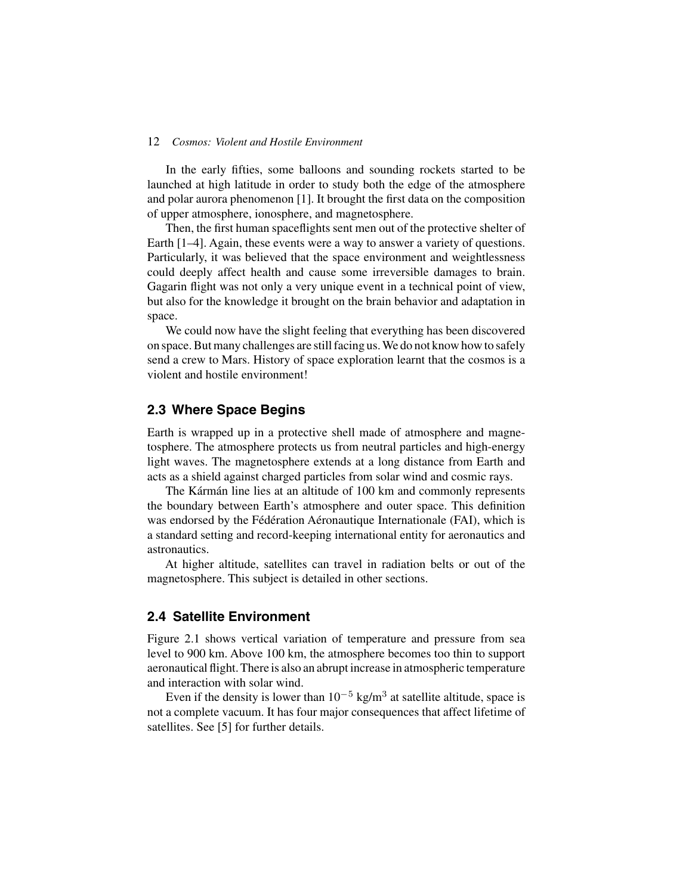#### 12 *Cosmos: Violent and Hostile Environment*

In the early fifties, some balloons and sounding rockets started to be launched at high latitude in order to study both the edge of the atmosphere and polar aurora phenomenon [1]. It brought the first data on the composition of upper atmosphere, ionosphere, and magnetosphere.

Then, the first human spaceflights sent men out of the protective shelter of Earth [1–4]. Again, these events were a way to answer a variety of questions. Particularly, it was believed that the space environment and weightlessness could deeply affect health and cause some irreversible damages to brain. Gagarin flight was not only a very unique event in a technical point of view, but also for the knowledge it brought on the brain behavior and adaptation in space.

We could now have the slight feeling that everything has been discovered on space. But many challenges are still facing us. We do not know how to safely send a crew to Mars. History of space exploration learnt that the cosmos is a violent and hostile environment!

# **2.3 Where Space Begins**

Earth is wrapped up in a protective shell made of atmosphere and magnetosphere. The atmosphere protects us from neutral particles and high-energy light waves. The magnetosphere extends at a long distance from Earth and acts as a shield against charged particles from solar wind and cosmic rays.

The Kármán line lies at an altitude of 100 km and commonly represents the boundary between Earth's atmosphere and outer space. This definition was endorsed by the Fédération Aéronautique Internationale (FAI), which is a standard setting and record-keeping international entity for aeronautics and astronautics.

At higher altitude, satellites can travel in radiation belts or out of the magnetosphere. This subject is detailed in other sections.

# **2.4 Satellite Environment**

Figure 2.1 shows vertical variation of temperature and pressure from sea level to 900 km. Above 100 km, the atmosphere becomes too thin to support aeronautical flight. There is also an abrupt increase in atmospheric temperature and interaction with solar wind.

Even if the density is lower than  $10^{-5}$  kg/m<sup>3</sup> at satellite altitude, space is not a complete vacuum. It has four major consequences that affect lifetime of satellites. See [5] for further details.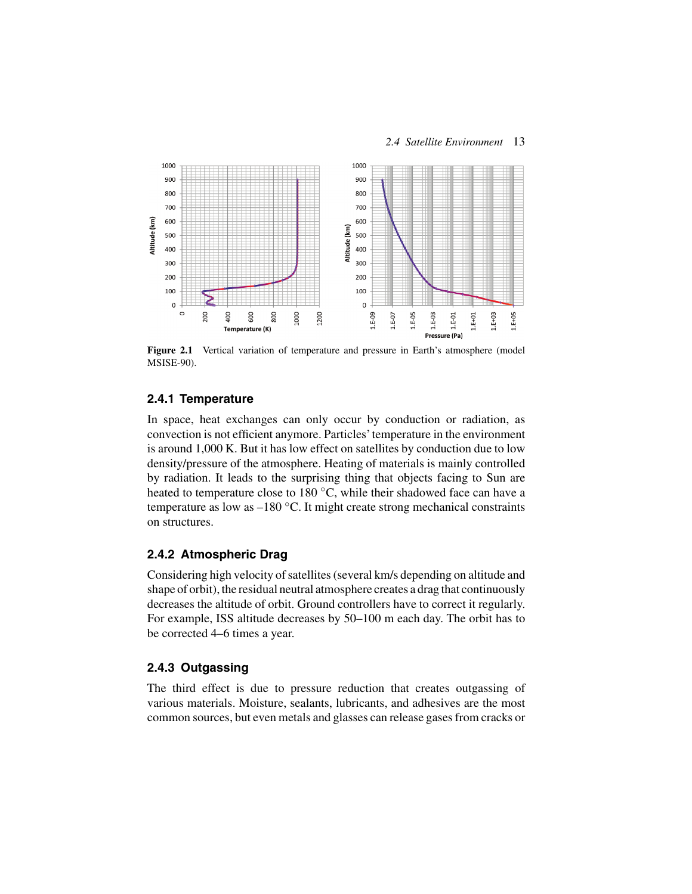

**Figure 2.1** Vertical variation of temperature and pressure in Earth's atmosphere (model MSISE-90).

#### **2.4.1 Temperature**

In space, heat exchanges can only occur by conduction or radiation, as convection is not efficient anymore. Particles'temperature in the environment is around 1,000 K. But it has low effect on satellites by conduction due to low density/pressure of the atmosphere. Heating of materials is mainly controlled by radiation. It leads to the surprising thing that objects facing to Sun are heated to temperature close to 180 °C, while their shadowed face can have a temperature as low as  $-180$  °C. It might create strong mechanical constraints on structures.

## **2.4.2 Atmospheric Drag**

Considering high velocity of satellites (several km/s depending on altitude and shape of orbit), the residual neutral atmosphere creates a drag that continuously decreases the altitude of orbit. Ground controllers have to correct it regularly. For example, ISS altitude decreases by 50–100 m each day. The orbit has to be corrected 4–6 times a year.

#### **2.4.3 Outgassing**

The third effect is due to pressure reduction that creates outgassing of various materials. Moisture, sealants, lubricants, and adhesives are the most common sources, but even metals and glasses can release gases from cracks or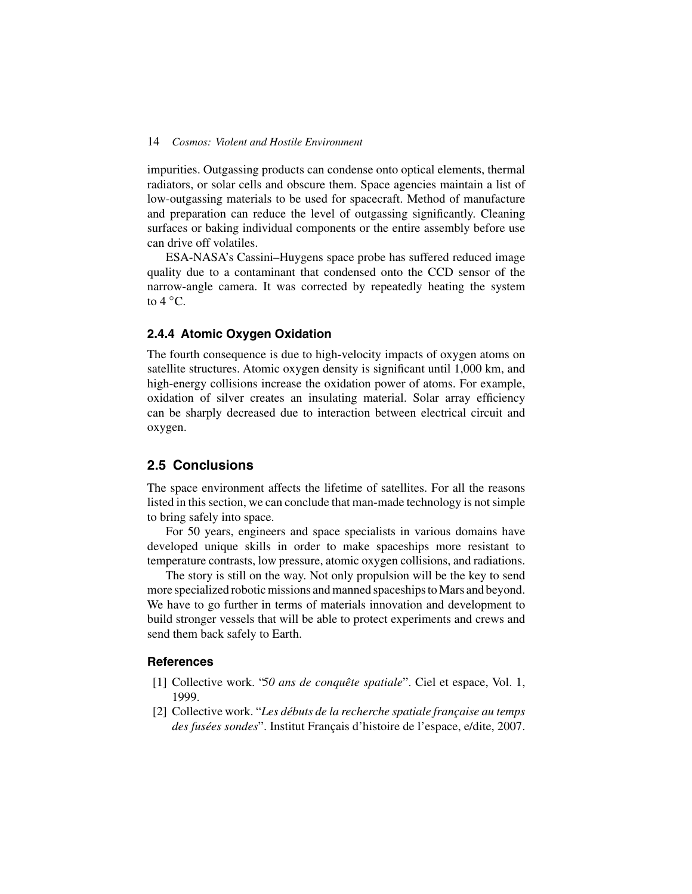#### 14 *Cosmos: Violent and Hostile Environment*

impurities. Outgassing products can condense onto optical elements, thermal radiators, or solar cells and obscure them. Space agencies maintain a list of low-outgassing materials to be used for spacecraft. Method of manufacture and preparation can reduce the level of outgassing significantly. Cleaning surfaces or baking individual components or the entire assembly before use can drive off volatiles.

ESA-NASA's Cassini–Huygens space probe has suffered reduced image quality due to a contaminant that condensed onto the CCD sensor of the narrow-angle camera. It was corrected by repeatedly heating the system to  $4^{\circ}$ C.

#### **2.4.4 Atomic Oxygen Oxidation**

The fourth consequence is due to high-velocity impacts of oxygen atoms on satellite structures. Atomic oxygen density is significant until 1,000 km, and high-energy collisions increase the oxidation power of atoms. For example, oxidation of silver creates an insulating material. Solar array efficiency can be sharply decreased due to interaction between electrical circuit and oxygen.

# **2.5 Conclusions**

The space environment affects the lifetime of satellites. For all the reasons listed in this section, we can conclude that man-made technology is not simple to bring safely into space.

For 50 years, engineers and space specialists in various domains have developed unique skills in order to make spaceships more resistant to temperature contrasts, low pressure, atomic oxygen collisions, and radiations.

The story is still on the way. Not only propulsion will be the key to send more specialized robotic missions and manned spaceships to Mars and beyond. We have to go further in terms of materials innovation and development to build stronger vessels that will be able to protect experiments and crews and send them back safely to Earth.

#### **References**

- [1] Collective work. "*50 ans de conquête spatiale*". Ciel et espace, Vol. 1, 1999.
- [2] Collective work. "*Les débuts de la recherche spatiale française au temps des fusées sondes*". Institut Français d'histoire de l'espace, e/dite, 2007.